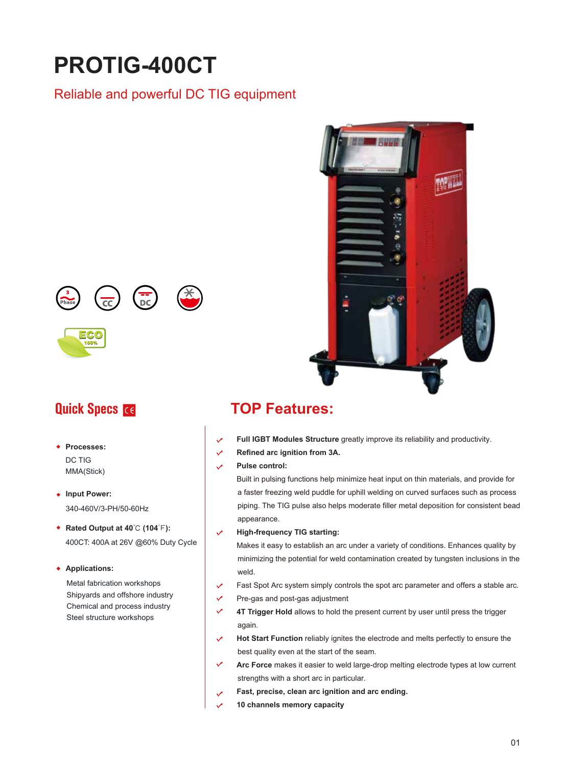# **PROTIG-400CT**

# Reliable and powerful DC TIG equipment





- **Processes:**  DC TIG MMA(Stick)
- **Input Power:**  340-460V/3-PH/50-60Hz
- **Rated Output at 40**℃ **(104**℉**):**  400CT: 400A at 26V @60% Duty Cycle

### **Applications:**

Metal fabrication workshops Shipyards and offshore industry Chemical and process industry Steel structure workshops



# **Quick Specs <b>TOP Features:**

- **Full IGBT Modules Structure** greatly improve its reliability and productivity.
- **Refined arc ignition from 3A.**  $\mathcal{L}$
- **Pulse control:**  $\overline{\mathscr{S}}$

Built in pulsing functions help minimize heat input on thin materials, and provide for a faster freezing weld puddle for uphill welding on curved surfaces such as process piping. The TIG pulse also helps moderate filler metal deposition for consistent bead appearance.

**High-frequency TIG starting:**

Makes it easy to establish an arc under a variety of conditions. Enhances quality by minimizing the potential for weld contamination created by tungsten inclusions in the weld.

- Fast Spot Arc system simply controls the spot arc parameter and offers a stable arc.  $\cdot$
- $\checkmark$ Pre-gas and post-gas adjustment
- $\checkmark$ **4T Trigger Hold** allows to hold the present current by user until press the trigger again.
- **Hot Start Function** reliably ignites the electrode and melts perfectly to ensure the best quality even at the start of the seam.
- **Arc Force** makes it easier to weld large-drop melting electrode types at low current strengths with a short arc in particular.
- **Fast, precise, clean arc ignition and arc ending.**
- **10 channels memory capacity**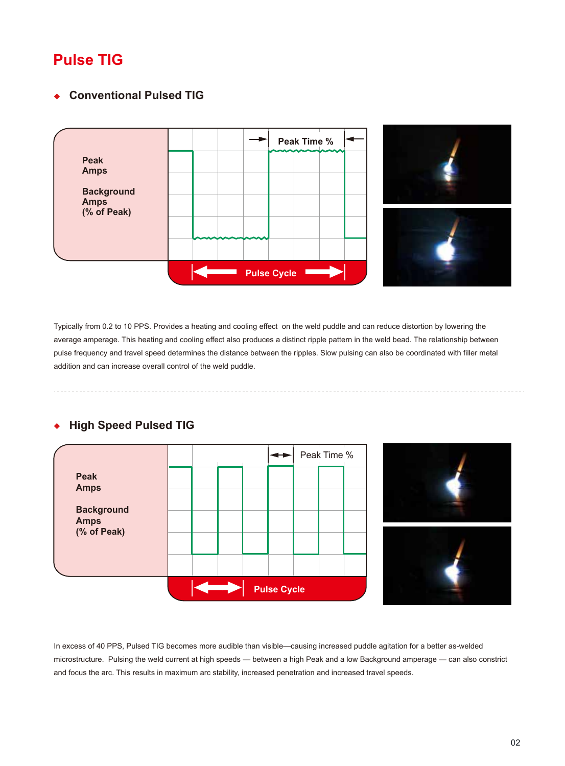# **Pulse TIG**

### **Conventional Pulsed TIG**  $\ddot{\bullet}$



Typically from 0.2 to 10 PPS. Provides a heating and cooling effect on the weld puddle and can reduce distortion by lowering the average amperage. This heating and cooling effect also produces a distinct ripple pattern in the weld bead. The relationship between pulse frequency and travel speed determines the distance between the ripples. Slow pulsing can also be coordinated with filler metal addition and can increase overall control of the weld puddle.

### **High Speed Pulsed TIG**  $\ddot{\bullet}$



In excess of 40 PPS, Pulsed TIG becomes more audible than visible—causing increased puddle agitation for a better as-welded microstructure. Pulsing the weld current at high speeds — between a high Peak and a low Background amperage — can also constrict and focus the arc. This results in maximum arc stability, increased penetration and increased travel speeds.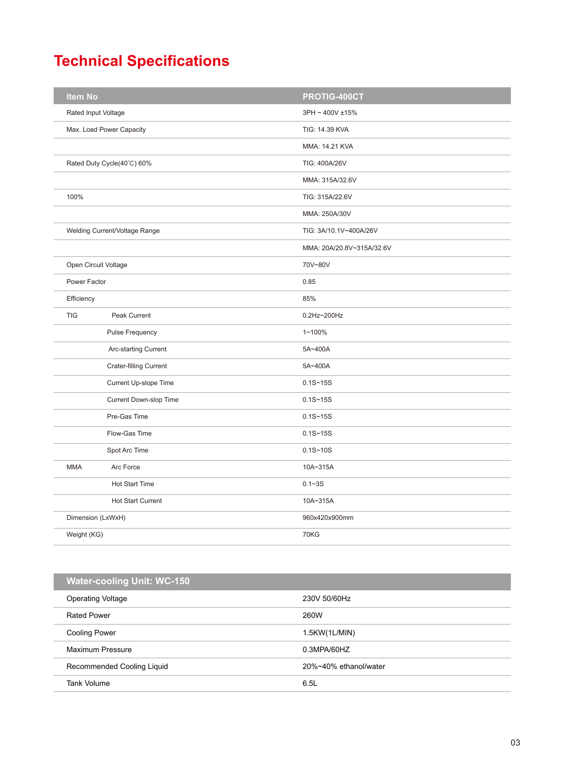# **Technical Specifications**

| <b>Item No</b>      |                               | PROTIG-400CT              |  |
|---------------------|-------------------------------|---------------------------|--|
| Rated Input Voltage |                               | 3PH ~ 400V ±15%           |  |
|                     | Max. Load Power Capacity      | TIG: 14.39 KVA            |  |
|                     |                               | MMA: 14.21 KVA            |  |
|                     | Rated Duty Cycle(40°C) 60%    | TIG: 400A/26V             |  |
|                     |                               | MMA: 315A/32.6V           |  |
| 100%                |                               | TIG: 315A/22.6V           |  |
|                     |                               | MMA: 250A/30V             |  |
|                     | Welding Current/Voltage Range | TIG: 3A/10.1V~400A/26V    |  |
|                     |                               | MMA: 20A/20.8V~315A/32.6V |  |
|                     | Open Circuit Voltage          | 70V~80V                   |  |
| Power Factor        |                               | 0.85                      |  |
| Efficiency          |                               | 85%                       |  |
| <b>TIG</b>          | Peak Current                  | 0.2Hz~200Hz               |  |
|                     | <b>Pulse Frequency</b>        | $1 - 100%$                |  |
|                     | Arc-starting Current          | 5A~400A                   |  |
|                     | <b>Crater-filling Current</b> | 5A~400A                   |  |
|                     | Current Up-slope Time         | $0.1S - 15S$              |  |
|                     | Current Down-slop Time        | $0.1S - 15S$              |  |
|                     | Pre-Gas Time                  | $0.1S - 15S$              |  |
|                     | Flow-Gas Time                 | $0.1S - 15S$              |  |
|                     | Spot Arc Time                 | $0.1S - 10S$              |  |
| <b>MMA</b>          | Arc Force                     | 10A~315A                  |  |
|                     | <b>Hot Start Time</b>         | $0.1 - 3S$                |  |
|                     | Hot Start Current             | 10A~315A                  |  |
|                     | Dimension (LxWxH)             | 960x420x900mm             |  |
| Weight (KG)         |                               | <b>70KG</b>               |  |
|                     |                               |                           |  |

# **Water-cooling Unit: WC-150**

| .                          |                       |  |
|----------------------------|-----------------------|--|
| <b>Operating Voltage</b>   | 230V 50/60Hz          |  |
| <b>Rated Power</b>         | <b>260W</b>           |  |
| <b>Cooling Power</b>       | 1.5KW(1L/MIN)         |  |
| Maximum Pressure           | 0.3MPA/60HZ           |  |
| Recommended Cooling Liquid | 20%~40% ethanol/water |  |
| Tank Volume                | 6.5L                  |  |